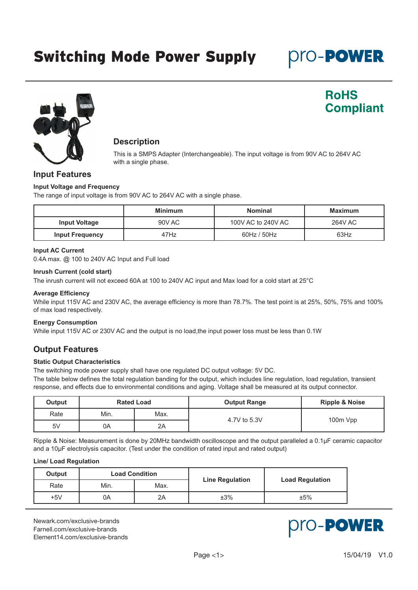Oro-Power

**RoHS** 

**Compliant** 



# **Description**

This is a SMPS Adapter (Interchangeable). The input voltage is from 90V AC to 264V AC with a single phase.

## **Input Features**

#### **Input Voltage and Frequency**

The range of input voltage is from 90V AC to 264V AC with a single phase.

|                        | <b>Minimum</b> | <b>Nominal</b>     | <b>Maximum</b> |
|------------------------|----------------|--------------------|----------------|
| <b>Input Voltage</b>   | 90V AC         | 100V AC to 240V AC | <b>264V AC</b> |
| <b>Input Frequency</b> | 47Hz           | 60Hz / 50Hz        | 63Hz           |

## **Input AC Current**

0.4A max. @ 100 to 240V AC Input and Full load

#### **Inrush Current (cold start)**

The inrush current will not exceed 60A at 100 to 240V AC input and Max load for a cold start at 25°C

#### **Average Efficiency**

While input 115V AC and 230V AC, the average efficiency is more than 78.7%. The test point is at 25%, 50%, 75% and 100% of max load respectively.

### **Energy Consumption**

While input 115V AC or 230V AC and the output is no load,the input power loss must be less than 0.1W

## **Output Features**

### **Static Output Characteristics**

The switching mode power supply shall have one regulated DC output voltage: 5V DC.

The table below defines the total regulation banding for the output, which includes line regulation, load regulation, transient response, and effects due to environmental conditions and aging. Voltage shall be measured at its output connector.

| Output |      | <b>Rated Load</b> | <b>Output Range</b> | <b>Ripple &amp; Noise</b> |
|--------|------|-------------------|---------------------|---------------------------|
| Rate   | Min. | Max.              | 4.7V to 5.3V        | 100m Vpp                  |
| 5V     | 0A   | 2A                |                     |                           |

Ripple & Noise: Measurement is done by 20MHz bandwidth oscilloscope and the output paralleled a 0.1μF ceramic capacitor and a 10μF electrolysis capacitor. (Test under the condition of rated input and rated output)

#### **Line/ Load Regulation**

| Output | <b>Load Condition</b> |      |                        |                        |
|--------|-----------------------|------|------------------------|------------------------|
| Rate   | Min.                  | Max. | <b>Line Regulation</b> | <b>Load Regulation</b> |
| $+5V$  | ОA                    | 2A   | ±3%                    | ±5%                    |

[Newark.com/exclusive-brands](https://www.newark.com/exclusive-brands) [Farnell.com/exclusive-brands](https://www.farnell.com/exclusive-brands) [Element14.com/exclusive-brands](https://element14.com/exclusive-brands)

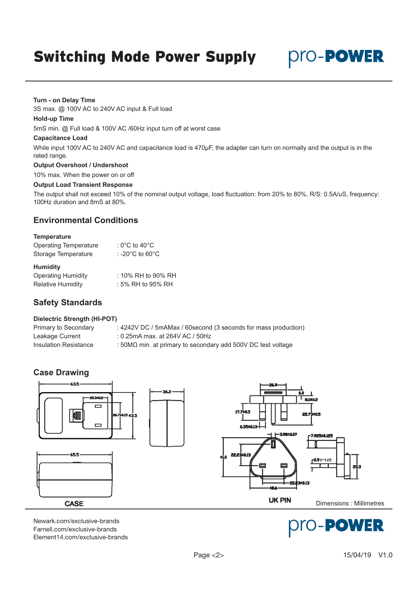pro-Power

#### **Turn - on Delay Time**

3S max. @ 100V AC to 240V AC input & Full load

#### **Hold-up Time**

5mS min. @ Full load & 100V AC /60Hz input turn off at worst case

#### **Capacitance Load**

While input 100V AC to 240V AC and capacitance load is 470μF, the adapter can turn on normally and the output is in the rated range.

### **Output Overshoot / Undershoot**

10% max. When the power on or off

#### **Output Load Transient Response**

The output shall not exceed 10% of the nominal output voltage, load fluctuation: from 20% to 80%, R/S: 0.5A/uS, frequency: 100Hz duration and 8mS at 80%.

## **Environmental Conditions**

#### **Temperature**

| <b>Operating Temperature</b> | : 0°C to 40°C                         |
|------------------------------|---------------------------------------|
| Storage Temperature          | : -20 $^{\circ}$ C to 60 $^{\circ}$ C |
| <b>Humidity</b>              |                                       |
| Operating Humidity           | $\cdot$ 10% RH to 00% R               |

| Operating Humidity | $:$ 10% RH to 90% RH |
|--------------------|----------------------|
| Relative Humidity  | $:5\%$ RH to 95% RH  |

## **Safety Standards**

### **Dielectric Strength (HI-POT)**

Primary to Secondary : 4242V DC / 5mAMax / 60second (3 seconds for mass production) Leakage Current : 0.25mA max. at 264V AC / 50Hz Insulation Resistance : 50MΩ min. at primary to secondary add 500V DC test voltage

## **Case Drawing**



[Newark.com/exclusive-brands](https://www.newark.com/exclusive-brands) [Farnell.com/exclusive-brands](https://www.farnell.com/exclusive-brands) [Element14.com/exclusive-brands](https://element14.com/exclusive-brands)